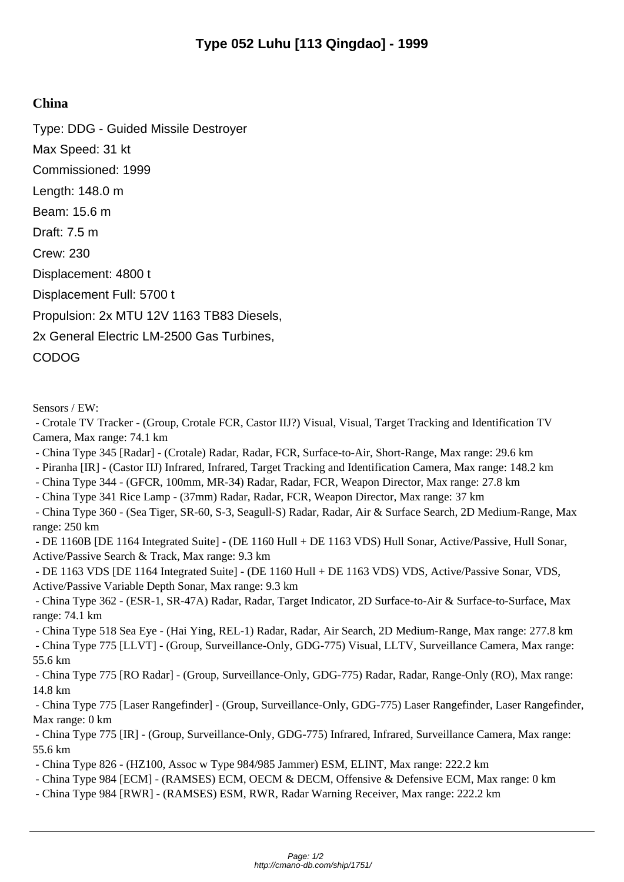## **China**

Type: DDG - Guided Missile Destroyer Max Speed: 31 kt Commissioned: 1999 Length: 148.0 m Beam: 15.6 m Draft: 7.5 m Crew: 230 Displacement: 4800 t Displacement Full: 5700 t Propulsion: 2x MTU 12V 1163 TB83 Diesels, 2x General Electric LM-2500 Gas Turbines, CODOG

Sensors / EW:

 - Crotale TV Tracker - (Group, Crotale FCR, Castor IIJ?) Visual, Visual, Target Tracking and Identification TV Camera, Max range: 74.1 km

- China Type 345 [Radar] (Crotale) Radar, Radar, FCR, Surface-to-Air, Short-Range, Max range: 29.6 km
- Piranha [IR] (Castor IIJ) Infrared, Infrared, Target Tracking and Identification Camera, Max range: 148.2 km
- China Type 344 (GFCR, 100mm, MR-34) Radar, Radar, FCR, Weapon Director, Max range: 27.8 km
- China Type 341 Rice Lamp (37mm) Radar, Radar, FCR, Weapon Director, Max range: 37 km

 - China Type 360 - (Sea Tiger, SR-60, S-3, Seagull-S) Radar, Radar, Air & Surface Search, 2D Medium-Range, Max range: 250 km

 - DE 1160B [DE 1164 Integrated Suite] - (DE 1160 Hull + DE 1163 VDS) Hull Sonar, Active/Passive, Hull Sonar, Active/Passive Search & Track, Max range: 9.3 km

 - DE 1163 VDS [DE 1164 Integrated Suite] - (DE 1160 Hull + DE 1163 VDS) VDS, Active/Passive Sonar, VDS, Active/Passive Variable Depth Sonar, Max range: 9.3 km

 - China Type 362 - (ESR-1, SR-47A) Radar, Radar, Target Indicator, 2D Surface-to-Air & Surface-to-Surface, Max range: 74.1 km

 - China Type 518 Sea Eye - (Hai Ying, REL-1) Radar, Radar, Air Search, 2D Medium-Range, Max range: 277.8 km - China Type 775 [LLVT] - (Group, Surveillance-Only, GDG-775) Visual, LLTV, Surveillance Camera, Max range: 55.6 km

 - China Type 775 [RO Radar] - (Group, Surveillance-Only, GDG-775) Radar, Radar, Range-Only (RO), Max range: 14.8 km

 - China Type 775 [Laser Rangefinder] - (Group, Surveillance-Only, GDG-775) Laser Rangefinder, Laser Rangefinder, Max range: 0 km

 - China Type 775 [IR] - (Group, Surveillance-Only, GDG-775) Infrared, Infrared, Surveillance Camera, Max range: 55.6 km

- China Type 826 - (HZ100, Assoc w Type 984/985 Jammer) ESM, ELINT, Max range: 222.2 km

- China Type 984 [ECM] - (RAMSES) ECM, OECM & DECM, Offensive & Defensive ECM, Max range: 0 km

- China Type 984 [RWR] - (RAMSES) ESM, RWR, Radar Warning Receiver, Max range: 222.2 km